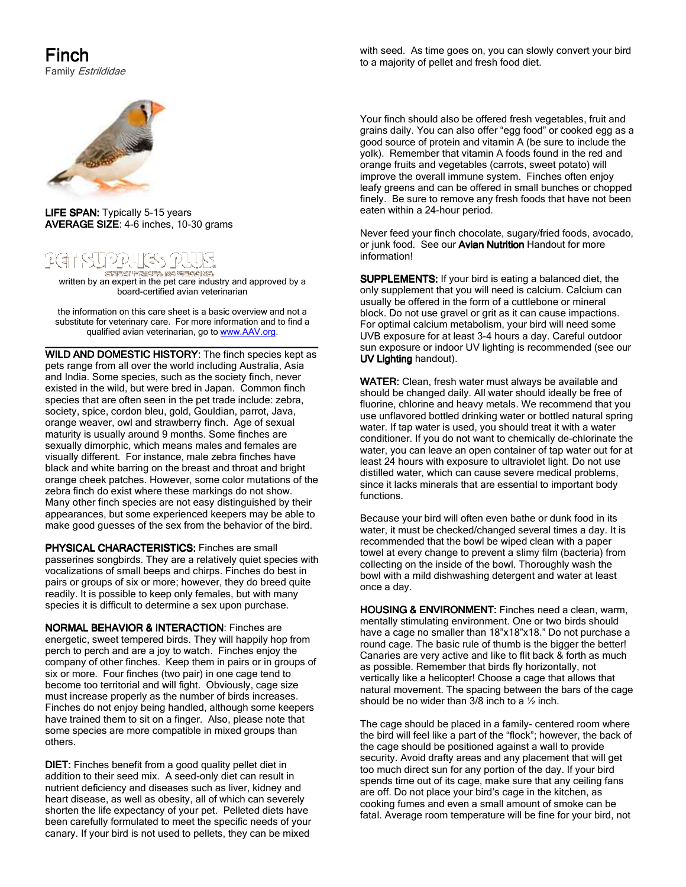## Finch

Family Estrildidae

with seed. As time goes on, you can slowly convert your bird to a majority of pellet and fresh food diet.



LIFE SPAN: Typically 5-15 years AVERAGE SIZE: 4-6 inches, 10-30 grams

## - 25대(32 년 GREAT FRIGHT NO SERVENS.

**জসকলে শেষকেক মেত জনকলে কেনেকে।**<br>written by an expert in the pet care industry and approved by a board-certified avian veterinarian

the information on this care sheet is a basic overview and not a substitute for veterinary care. For more information and to find a qualified avian veterinarian, go to www.AAV.org.

\_\_\_\_\_\_\_\_\_\_\_\_\_\_\_\_\_\_\_\_\_\_\_\_\_\_\_\_\_\_\_\_\_\_\_\_\_\_\_\_\_\_\_\_\_\_\_\_\_ \_\_\_\_\_\_\_\_\_\_\_\_\_\_\_\_\_\_\_\_\_\_\_\_\_\_\_\_\_\_\_\_\_\_\_\_\_\_\_\_\_\_\_\_\_\_\_\_\_ WILD AND DOMESTIC HISTORY: The finch species kept as pets range from all over the world including Australia, Asia and India. Some species, such as the society finch, never existed in the wild, but were bred in Japan. Common finch species that are often seen in the pet trade include: zebra, society, spice, cordon bleu, gold, Gouldian, parrot, Java, orange weaver, owl and strawberry finch. Age of sexual maturity is usually around 9 months. Some finches are sexually dimorphic, which means males and females are visually different. For instance, male zebra finches have black and white barring on the breast and throat and bright orange cheek patches. However, some color mutations of the zebra finch do exist where these markings do not show. Many other finch species are not easy distinguished by their appearances, but some experienced keepers may be able to make good guesses of the sex from the behavior of the bird.

PHYSICAL CHARACTERISTICS: Finches are small passerines songbirds. They are a relatively quiet species with vocalizations of small beeps and chirps. Finches do best in pairs or groups of six or more; however, they do breed quite readily. It is possible to keep only females, but with many species it is difficult to determine a sex upon purchase.

NORMAL BEHAVIOR & INTERACTION: Finches are energetic, sweet tempered birds. They will happily hop from perch to perch and are a joy to watch. Finches enjoy the company of other finches. Keep them in pairs or in groups of six or more. Four finches (two pair) in one cage tend to become too territorial and will fight. Obviously, cage size must increase properly as the number of birds increases. Finches do not enjoy being handled, although some keepers have trained them to sit on a finger. Also, please note that some species are more compatible in mixed groups than others.

DIET: Finches benefit from a good quality pellet diet in addition to their seed mix. A seed-only diet can result in nutrient deficiency and diseases such as liver, kidney and heart disease, as well as obesity, all of which can severely shorten the life expectancy of your pet. Pelleted diets have been carefully formulated to meet the specific needs of your canary. If your bird is not used to pellets, they can be mixed

Your finch should also be offered fresh vegetables, fruit and grains daily. You can also offer "egg food" or cooked egg as a good source of protein and vitamin A (be sure to include the yolk). Remember that vitamin A foods found in the red and orange fruits and vegetables (carrots, sweet potato) will improve the overall immune system. Finches often enjoy leafy greens and can be offered in small bunches or chopped finely. Be sure to remove any fresh foods that have not been eaten within a 24-hour period.

Never feed your finch chocolate, sugary/fried foods, avocado, or junk food. See our Avian Nutrition Handout for more information!

SUPPLEMENTS: If your bird is eating a balanced diet, the only supplement that you will need is calcium. Calcium can usually be offered in the form of a cuttlebone or mineral block. Do not use gravel or grit as it can cause impactions. For optimal calcium metabolism, your bird will need some UVB exposure for at least 3-4 hours a day. Careful outdoor sun exposure or indoor UV lighting is recommended (see our UV Lighting handout).

WATER: Clean, fresh water must always be available and should be changed daily. All water should ideally be free of fluorine, chlorine and heavy metals. We recommend that you use unflavored bottled drinking water or bottled natural spring water. If tap water is used, you should treat it with a water conditioner. If you do not want to chemically de-chlorinate the water, you can leave an open container of tap water out for at least 24 hours with exposure to ultraviolet light. Do not use distilled water, which can cause severe medical problems, since it lacks minerals that are essential to important body functions.

Because your bird will often even bathe or dunk food in its water, it must be checked/changed several times a day. It is recommended that the bowl be wiped clean with a paper towel at every change to prevent a slimy film (bacteria) from collecting on the inside of the bowl. Thoroughly wash the bowl with a mild dishwashing detergent and water at least once a day.

HOUSING & ENVIRONMENT: Finches need a clean, warm, mentally stimulating environment. One or two birds should have a cage no smaller than 18"x18"x18." Do not purchase a round cage. The basic rule of thumb is the bigger the better! Canaries are very active and like to flit back & forth as much as possible. Remember that birds fly horizontally, not vertically like a helicopter! Choose a cage that allows that natural movement. The spacing between the bars of the cage should be no wider than 3/8 inch to a ½ inch.

The cage should be placed in a family- centered room where the bird will feel like a part of the "flock"; however, the back of the cage should be positioned against a wall to provide security. Avoid drafty areas and any placement that will get too much direct sun for any portion of the day. If your bird spends time out of its cage, make sure that any ceiling fans are off. Do not place your bird's cage in the kitchen, as cooking fumes and even a small amount of smoke can be fatal. Average room temperature will be fine for your bird, not